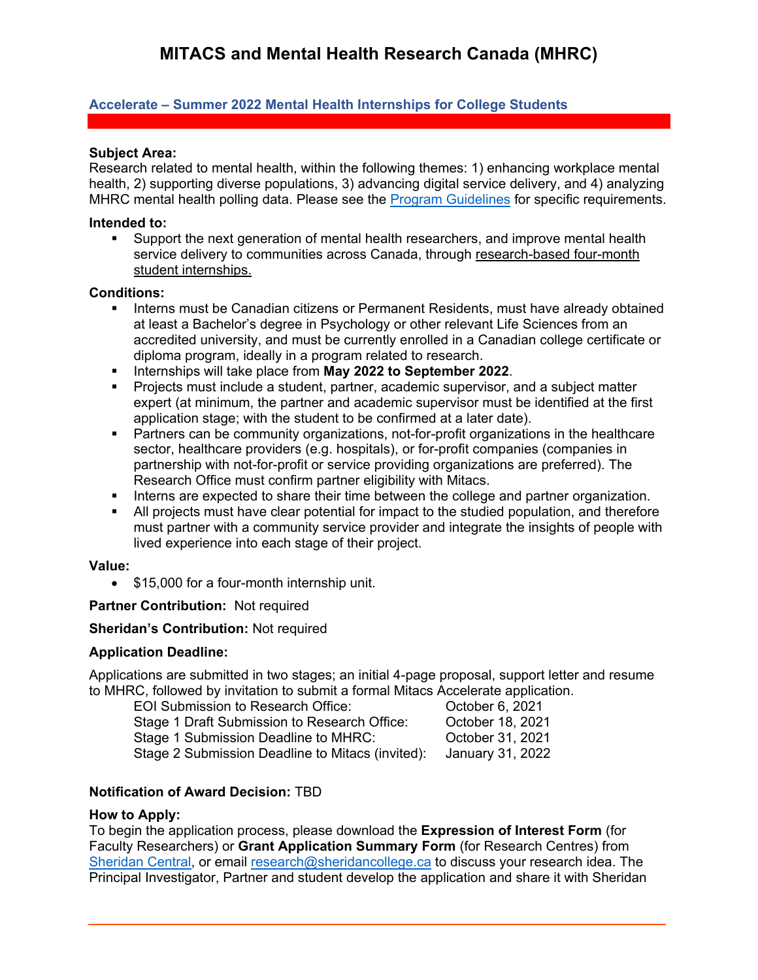# **Accelerate – Summer 2022 Mental Health Internships for College Students**

#### **Subject Area:**

Research related to mental health, within the following themes: 1) enhancing workplace mental health, 2) supporting diverse populations, 3) advancing digital service delivery, and 4) analyzing MHRC mental health polling data. Please see the [Program Guidelines](https://www.mhrc.ca/mitacs-internshipcolleges) for specific requirements.

#### **Intended to:**

service delivery to communities across Canada, through research-based four-month student internships. Support the next generation of mental health researchers, and improve mental health

#### **Conditions:**

- **Interns must be Canadian citizens or Permanent Residents, must have already obtained** at least a Bachelor's degree in Psychology or other relevant Life Sciences from an accredited university, and must be currently enrolled in a Canadian college certificate or diploma program, ideally in a program related to research.
- **Internships will take place from May 2022 to September 2022.**
- Projects must include a student, partner, academic supervisor, and a subject matter expert (at minimum, the partner and academic supervisor must be identified at the first application stage; with the student to be confirmed at a later date).
- Partners can be community organizations, not-for-profit organizations in the healthcare sector, healthcare providers (e.g. hospitals), or for-profit companies (companies in partnership with not-for-profit or service providing organizations are preferred). The Research Office must confirm partner eligibility with Mitacs.
- Interns are expected to share their time between the college and partner organization.
- All projects must have clear potential for impact to the studied population, and therefore must partner with a community service provider and integrate the insights of people with lived experience into each stage of their project.

## **Value:**

• \$15,000 for a four-month internship unit.

# **Partner Contribution:** Not required

## **Sheridan's Contribution:** Not required

## **Application Deadline:**

Applications are submitted in two stages; an initial 4-page proposal, support letter and resume to MHRC, followed by invitation to submit a formal Mitacs Accelerate application.

EOI Submission to Research Office: Correspondent Correspondent Correspondent Correspondent Correspondent Corre Stage 1 Submission Deadline to MHRC: Cortober 31, 2021 Stage 2 Submission Deadline to Mitacs (invited): January 31, 2022 Stage 1 Draft Submission to Research Office: October 18, 2021

## **Notification of Award Decision:** TBD

#### **How to Apply:**

 Principal Investigator, Partner and student develop the application and share it with Sheridan To begin the application process, please download the **Expression of Interest Form** (for Faculty Researchers) or **Grant Application Summary Form** (for Research Centres) from [Sheridan Central,](https://central.sheridancollege.ca/research) or email [research@sheridancollege.ca](mailto:research@sheridancollege.ca) to discuss your research idea. The